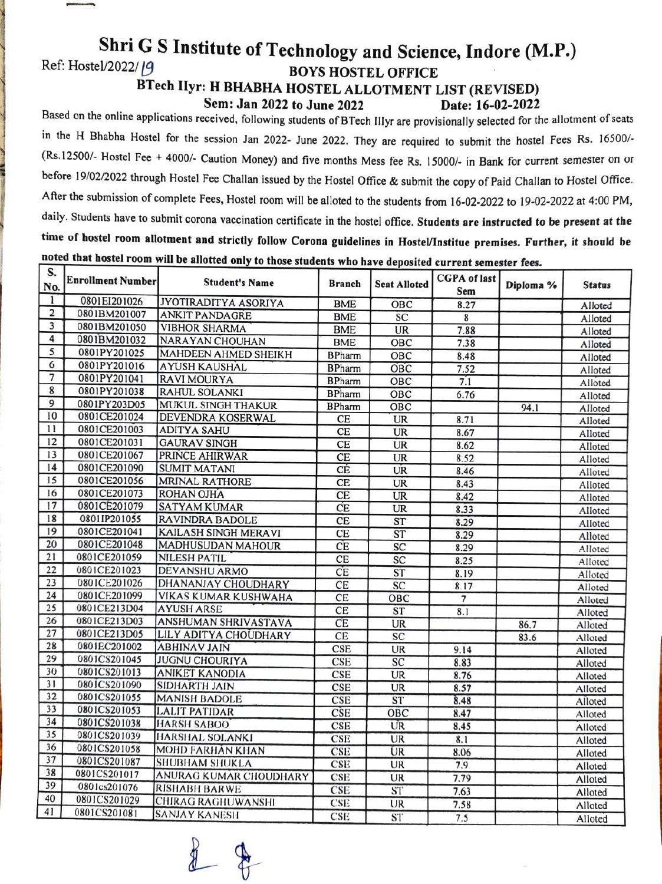## **Shri G S Institute of Technology and Science, Indore (M.P.)**<br>Ref: Hostel/2022/19<br>ROVS HOSTEL OFFICE Ref: Hostel/2022/ [9 **BOYS HOSTEL OFFICE**

-

**BTech Ilyr: H BHABHA HOSTEL ALLOTMENT LIST (REVISED) Sem: Jan 2022 to June 2022 Date: 16-02-2022** 

Based on the online applications received, following students of BTech lllyr are provisionally selected for the allotment of seats in the H Bhabha Hostel for the session Jan 2022- June 2022. They are required to submit the hostel Fees Rs. 16500/- (Rs.12500/- Hostel Fee + 4000/- Caution Money) and five months Mess fee Rs. 15000/- in Bank for current semester on or before 19/02/2022 through Hostel Fee Challan issued by the Hostel Office & submit the copy of Paid Challan to Hostel Office. After the submission of complete Fees, Hostel room will be alloted to the students from 16-02-2022 to 19-02-2022 at 4 :<sup>00</sup>PM, daily. Students have to submit corona vaccination certificate in the hostel office. **Students are instructed to be present at the time of hostel room allotment and strictly follow Corona guidelines in Hostel/Institue premises. Further, it should be noted that hostel room will be allotted only to those students who have deposited current semester fees.** 

| S.             | <b>Enrollment Number</b> | the most statements who have deposited current semester rees.<br><b>Student's Name</b> | <b>Branch</b> | <b>Seat Alloted</b> | <b>CGPA</b> of last<br>Sem | Diploma % | <b>Status</b> |
|----------------|--------------------------|----------------------------------------------------------------------------------------|---------------|---------------------|----------------------------|-----------|---------------|
| No.            |                          |                                                                                        |               |                     |                            |           |               |
| 1              | 0801EI201026             | JYOTIRADITYA ASORIYA                                                                   | <b>BME</b>    | OBC                 | 8.27                       |           | Alloted       |
| 2              | 0801BM201007             | <b>ANKIT PANDAGRE</b>                                                                  | <b>BME</b>    | SC                  | $\overline{\mathbf{8}}$    |           | Alloted       |
| $\overline{3}$ | 0801BM201050             | <b>VIBHOR SHARMA</b>                                                                   | <b>BME</b>    | UR                  | 7.88                       |           | Alloted       |
| 4              | 0801BM201032             | NARAYAN CHOUHAN                                                                        | <b>BME</b>    | OBC                 | 7.38                       |           | Alloted       |
| 5              | 0801PY201025             | MAHDEEN AHMED SHEIKH                                                                   | <b>BPharm</b> | OBC                 | 8.48                       |           | Alloted       |
| 6              | 0801PY201016             | <b>AYUSH KAUSHAL</b>                                                                   | <b>BPharm</b> | OBC                 | 7.52                       |           | Alloted       |
| 7              | 0801PY201041             | <b>RAVI MOURYA</b>                                                                     | <b>BPharm</b> | OBC                 | 7.1                        |           | Alloted       |
| 8              | 0801PY201038             | RAHUL SOLANKI                                                                          | <b>BPharm</b> | OBC                 | 6.76                       |           | Alloted       |
| 9              | 0801PY203D05             | MUKUL SINGH THAKUR                                                                     | <b>BPharm</b> | OBC                 |                            | 94.1      | Alloted       |
| 10             | 0801CE201024             | DEVENDRA KOSERWAL                                                                      | CE            | UR                  | 8.71                       |           | Alloted       |
| 11             | 0801CE201003             | <b>ADITYA SAHU</b>                                                                     | CE            | UR                  | 8.67                       |           | Alloted       |
| 12             | 0801CE201031             | <b>GAURAV SINGH</b>                                                                    | CE            | UR                  | 8.62                       |           | Alloted       |
| 13             | 0801CE201067             | PRINCE AHIRWAR                                                                         | CE            | UR                  | 8.52                       |           | Alloted       |
| 14             | 0801CE201090             | <b>SUMIT MATANI</b>                                                                    | CÉ            | UR                  | 8.46                       |           | Alloted       |
| 15             | 0801CE201056             | MRINAL RATHORE                                                                         | <b>CE</b>     | <b>UR</b>           | 8.43                       |           | Alloted       |
| 16             | 0801CE201073             | ROHAN OJHA                                                                             | <b>CE</b>     | <b>UR</b>           | 8.42                       |           | Alloted       |
| 17             | 0801CE201079             | <b>SATYAM KUMAR</b>                                                                    | CE            | UR                  | 8.33                       |           | Alloted       |
| 18             | 0801IP201055             | RAVINDRA BADOLE                                                                        | <b>CE</b>     | ST                  | 8.29                       |           | Alloted       |
| 19             | 0801CE201041             | KAILASH SINGH MERAVI                                                                   | CE            | ST                  | 8.29                       |           | Alloted       |
| 20             | 0801CE201048             | <b>MADHUSUDAN MAHOUR</b>                                                               | CE            | SC                  | 8.29                       |           | Alloted       |
| 21             | 0801CE201059             | <b>NILESH PATIL</b>                                                                    | <b>CE</b>     | SC                  | 8.25                       |           | Alloted       |
| 22             | 0801CE201023             | DEVANSHU ARMO                                                                          | CE            | ST                  | 8.19                       |           | Alloted       |
| 23             | 0801CE201026             | DHANANJAY CHOUDHARY                                                                    | CE            | SC                  | 8.17                       |           | Alloted       |
| 24             | 0801CE201099             | VIKAS KUMAR KUSHWAHA                                                                   | CE            | OBC                 | $\overline{7}$             |           | Alloted       |
| 25             | 0801CE213D04             | <b>AYUSH ARSE</b>                                                                      | CE            | <b>ST</b>           | 8.1                        |           | Alloted       |
| 26             | 0801CE213D03             | ANSHUMAN SHRIVASTAVA                                                                   | CE            | UR                  |                            | 86.7      | Alloted       |
| 27             | 0801CE213D05             | LILY ADITYA CHOUDHARY                                                                  | <b>CE</b>     | SC                  |                            | 83.6      | Alloted       |
| 28             | 0801EC201002             | <b>ABHINAV JAIN</b>                                                                    | <b>CSE</b>    | UR                  | 9.14                       |           | Alloted       |
| 29             | 0801CS201045             | <b>JUGNU CHOURIYA</b>                                                                  | <b>CSE</b>    | SC                  | 8.83                       |           | Alloted       |
| 30             | 0801CS201013             | <b>ANIKET KANODIA</b>                                                                  | CSE           | <b>UR</b>           | 8.76                       |           | Alloted       |
| 31             | 0801CS201090             | SIDHARTH JAIN                                                                          | <b>CSE</b>    | <b>UR</b>           | 8.57                       |           | Alloted       |
| 32             | 0801CS201055             | <b>MANISH BADOLE</b>                                                                   | CSE           | ST                  | 8.48                       |           | Alloted       |
| 33             | 0801CS201053             | <b>LALIT PATIDAR</b>                                                                   | CSE           | OBC                 | 8.47                       |           | Alloted       |
| 34             | 0801CS201038             | <b>HARSH SABOO</b>                                                                     | CSE           | UR                  | 8.45                       |           | Alloted       |
| 35             | 0801CS201039             | HARSHAL SOLANKI                                                                        | CSE           | UR                  | 8.1                        |           | Alloted       |
| 36             | 0801CS201058             | MOHD FARHAN KHAN                                                                       | CSE           | <b>UR</b>           | 8.06                       |           | Alloted       |
| 37             | 0801CS201087             | SHUBHAM SHUKLA                                                                         | CSE           | UR                  | 7.9                        |           | Alloted       |
| 38             | 0801CS201017             | ANURAG KUMAR CHOUDHARY                                                                 | <b>CSE</b>    | UR                  | 7.79                       |           | Alloted       |
| 39             | 0801cs201076             | <b>RISHABH BARWE</b>                                                                   | CSE           | <b>ST</b>           | 7.63                       |           | Alloted       |
| 40             | 0801CS201029             | CHIRAG RAGHUWANSHI                                                                     | CSE           | UR                  | 7.58                       |           | Alloted       |
| 41             | 0801CS201081             | <b>SANJAY KANESH</b>                                                                   | <b>CSE</b>    | <b>ST</b>           | 7.5                        |           | Alloted       |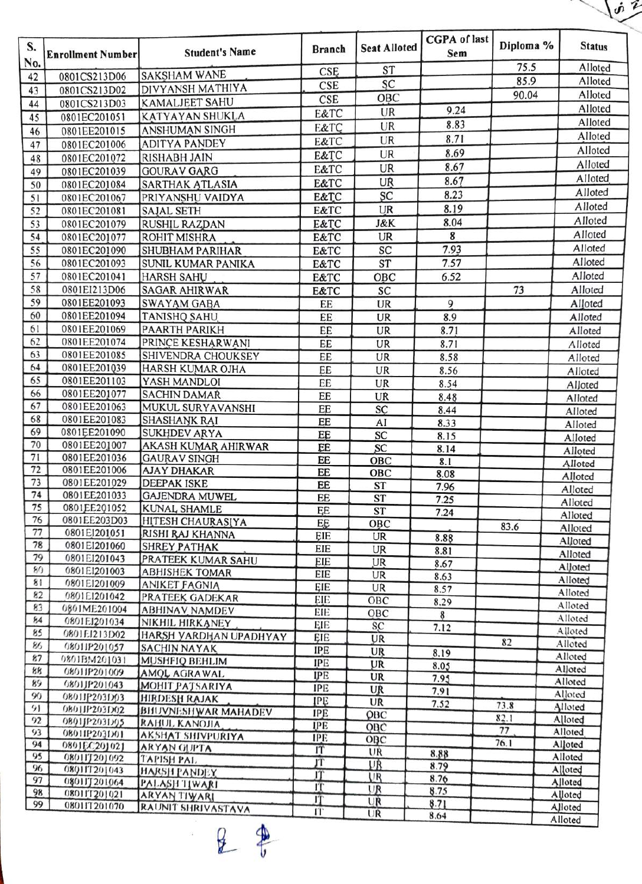|          | $\dot{\mathbf{v}}$           |                                          |                 |                     |                            |           |                    |  |
|----------|------------------------------|------------------------------------------|-----------------|---------------------|----------------------------|-----------|--------------------|--|
| S.       | <b>Enrollment Number</b>     | <b>Student's Name</b>                    | <b>Branch</b>   | <b>Seat Alloted</b> | <b>CGPA</b> of last<br>Sem | Diploma % | <b>Status</b>      |  |
| No.      |                              |                                          | CSE             | ST                  |                            | 75.5      | Alloted            |  |
| 42       | 0801CS213D06                 | <b>SAKSHAM WANE</b>                      | CSE             | SC                  |                            | 85.9      | Alloted            |  |
| 43       | 0801CS213D02                 | DIVYANSH MATHIYA                         | CSE             | OBC                 |                            | 90.04     | Alloted            |  |
| 44       | 0801CS213D03                 | <b>KAMALJEET SAHU</b>                    | E&TC            | UR                  | 9.24                       |           | Alloted            |  |
| 45       | 0801EC201051                 | KATYAYAN SHUKLA                          |                 | UR                  | 8.83                       |           | Alloted            |  |
| 46       | 0801EE201015                 | ANSHUMAN SINGH                           | E&TC            | UR                  | 8.71                       |           | Alloted            |  |
| 47       | 0801EC201006                 | <b>ADITYA PANDEY</b>                     | E&TC            |                     | 8.69                       |           | Alloted            |  |
| 48       | 0801EC201072                 | <b>RISHABH JAIN</b>                      | <b>E&amp;TC</b> | UR                  |                            |           | Alloted            |  |
| 49       | 0801EC201039                 | <b>GOURAV GARG</b>                       | E&TC            | <b>UR</b>           | 8.67                       |           | Alloted            |  |
| 50       | 0801EC201084                 | <b>SARTHAK ATLASIA</b>                   | E&TC            | UR                  | 8.67                       |           | Alloted            |  |
| 51       | 0801EC201067                 | PRIYANSHU VAIDYA                         | <b>E&amp;TC</b> | SC                  | 8.23                       |           | Alloted            |  |
| 52       | 0801EC201081                 | SAJAL SETH                               | <b>E&amp;TC</b> | <b>UR</b>           | 8.19                       |           |                    |  |
| 53       | 0801EC201079                 | RUSHIL RAZDAN                            | E&TC            | J&K                 | 8.04                       |           | Alloted            |  |
| 54       | 0801EC201077                 | ROHIT MISHRA                             | E&TC            | UR                  | 8                          |           | Alloted            |  |
| 55       | 0801EC201090                 | <b>SHUBHAM PARIHAR</b>                   | E&TC            | SC                  | 7.93                       |           | Alloted            |  |
| 56       | 0801EC201093                 | SUNIL KUMAR PANIKA                       | E&TC            | ST                  | 7.57                       |           | Alloted            |  |
| 57       | 0801EC201041                 | <b>HARSH SAHU</b>                        | E&TC            | OBC                 | 6.52                       |           | Alloted            |  |
| 58       | 0801EI213D06                 | <b>SAGAR AHIRWAR</b>                     | <b>E&amp;TC</b> | SC                  |                            | 73        | Alloted            |  |
| 59       | 0801EE201093                 | <b>SWAYAM GABA</b>                       | EE              | UR                  | 9                          |           | Alloted            |  |
| 60       | 0801EE201094                 | <b>TANISHQ SAHU</b>                      | EE              | UR                  | 8.9                        |           | Alloted            |  |
| 61       | 0801EE201069                 | PAARTH PARIKH                            | EE              | UR                  | 8.71                       |           | Alloted            |  |
| 62       | 0801EE201074                 | PRINCE KESHARWANI                        | EE              | UR                  | 8.71                       |           | Alloted            |  |
| 63       | 0801EE201085                 | SHIVENDRA CHOUKSEY                       | EE              | UR                  | 8.58                       |           | Alloted            |  |
| 64       | 0801EE201039                 | HARSH KUMAR OJHA                         | EE              | UR                  | 8.56                       |           | Alloted            |  |
| 65       | 0801EE201103                 | YASH MANDLOI                             | EE              | UR                  | 8.54                       |           | Alloted            |  |
| 66       | 0801EE201077                 | <b>SACHIN DAMAR</b>                      | EE              | UR                  | 8.48                       |           | Alloted            |  |
| 67       | 0801EE201063                 | MUKUL SURYAVANSHI                        | EE              | SÇ                  | 8.44                       |           | Alloted            |  |
| 68       | 0801EE201083                 | <b>SHASHANK RAI</b>                      | EE              | AI                  | 8.33                       |           | Alloted            |  |
| 69       | 0801EE201090                 | <b>SUKHDEV ARYA</b>                      | EE              | SC                  | 8.15                       |           | Alloted            |  |
| 70<br>71 | 0801EE201007<br>0801EE201036 | AKASH KUMAR AHIRWAR                      | EE              | SC                  | 8.14                       |           | Alloted            |  |
| 72       | 0801EE201006                 | <b>GAURAV SINGH</b>                      | EE              | OBC                 | 8.1                        |           | Alloted            |  |
| 73       | 0801EE201029                 | <b>AJAY DHAKAR</b><br><b>DEEPAK ISKE</b> | EE              | OBC                 | 8.08                       |           | Alloted            |  |
| 74       | 0801EE201033                 | <b>GAJENDRA MUWEL</b>                    | EE              | ST                  | 7.96                       |           | Alloted            |  |
| 75       | 0801EE201052                 | <b>KUNAL SHAMLE</b>                      | EE              | ST                  | 7.25                       |           | Alloted            |  |
| 76       | 0801EE203D03                 | HITESH CHAURASIYA                        | ĘE<br>EE        | ST                  | 7.24                       |           | Alloted            |  |
| 77       | 0801EI201051                 | RISHI RAJ KHANNA                         | <b>EIE</b>      | OBC<br>UR           |                            | 83.6      | Alloted            |  |
| 78       | 0801EI201060                 | <b>SHREY PATHAK</b>                      | EIE             |                     | 8.88                       |           | Alloted            |  |
| 79       | 0801EI201043                 | PRATEEK KUMAR SAHU                       | EIE             | UR<br>UR            | 8.81                       |           | Alloted            |  |
| 80       | 0801EI201003                 | <b>ABHISHEK TOMAR</b>                    | EIE             | UR                  | 8.67                       |           | Alloted            |  |
| 81       | 0801EI201009                 | <b>ANIKET FAGNIA</b>                     | EIE             | UR                  | 8.63<br>8.57               |           | Alloted            |  |
| 82       | 0801E1201042                 | PRATEEK GADEKAR                          | EIE             | OBC                 | 8.29                       |           | Alloted            |  |
| 83       | 0801ME201004                 | <b>ABHINAV NAMDEV</b>                    | EIE             | OBC                 | 8                          |           | Alloted            |  |
| 84       | 0801EJ201034                 | NIKHIL HIRKANEY                          | <b>EIE</b>      | SC                  | 7.12                       |           | Alloted            |  |
| 85       | 0801E1213D02                 | HARSH YARDHAN UPADHYAY                   | EIE             | UR                  |                            | 82        | Alloted            |  |
| 86       | 08011P201057                 | <b>SACHIN NAYAK</b>                      | <b>IPE</b>      | UR                  | 8,19                       |           | Alloted            |  |
| 87       | 0801BM201031                 | MUSHFIQ BEHLIM                           | IPE             | UR                  | 8.05                       |           | Alloted            |  |
| 88       | 08011P201009                 | AMOL AGRAWAL                             | <b>IPE</b>      | UR                  | 7.95                       |           | Alloted<br>Alloted |  |
| 89       | 0801JP201043                 | MOHIT PATSARIYA                          | <b>IPE</b>      | UR                  | 7.91                       |           | Alloted            |  |
| 90<br>91 | 08011P203D03                 | <b>HIRDESH RAJAK</b>                     | IPE             | UR                  | 7.52                       | 73.8      | Alloted            |  |
| 92       | 0801IP203D02                 | <b>BHUVNESHWAR MAHADEV</b>               | IPE             | QBC                 |                            | 82.1      | Alloted            |  |
| 93       | 0801JP203D05<br>08011P203D01 | RAHUL KANOJIA                            | <b>IPE</b>      | OBC                 |                            | 77        | Alloted            |  |
| 94       | 080JEC20J02J                 | <b>AKSHAT SHIVPURIYA</b><br>ARYAN GUPTA  | <b>IPE</b>      | OBC                 |                            | 76.1      | Alloted            |  |
| 95       | 080117201092                 | <b>TAPISH PAL</b>                        | T               | UR                  | 8.88                       |           | Alloted            |  |
| 96       | 080117201043                 | HARSH PANDEY                             | JT<br>IT        | <b>UR</b>           | 8.79                       |           | Alloted            |  |
| 97       | 08011J201064                 | PALASH TIWARI                            | IT              | UR                  | 8.76                       |           | Alloted            |  |
| 98       | 08011T201021                 | ARYAN TIWARI                             | IT              | UR                  | 8.75                       |           | Alloted            |  |
| 99       | 08011T201070                 | RAUNIT SHRIVASTAVA                       | IT              | UR<br>UR            | 8.71                       |           | Alloted            |  |
|          |                              |                                          |                 |                     | 8.64                       |           | Alloted            |  |

ii.